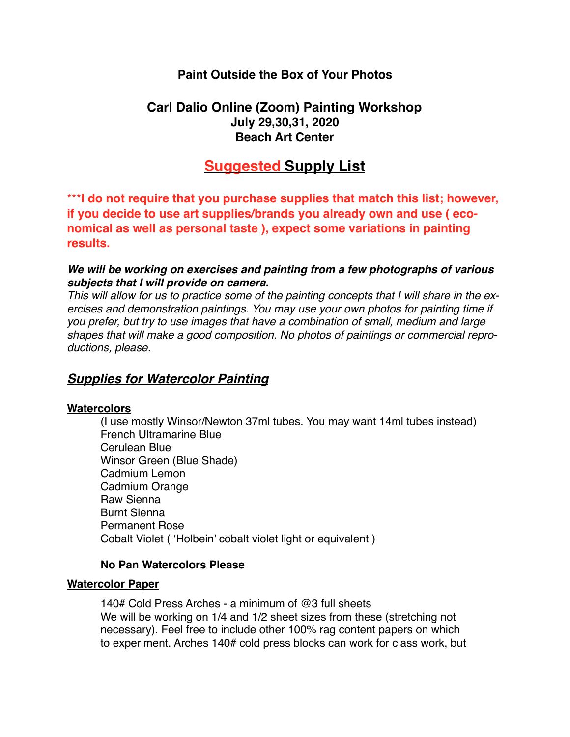# **Paint Outside the Box of Your Photos**

# **Carl Dalio Online (Zoom) Painting Workshop July 29,30,31, 2020 Beach Art Center**

# **Suggested Supply List**

\*\*\***I do not require that you purchase supplies that match this list; however, if you decide to use art supplies/brands you already own and use ( economical as well as personal taste ), expect some variations in painting results.**

## *We will be working on exercises and painting from a few photographs of various subjects that I will provide on camera.*

*This will allow for us to practice some of the painting concepts that I will share in the exercises and demonstration paintings. You may use your own photos for painting time if you prefer, but try to use images that have a combination of small, medium and large shapes that will make a good composition. No photos of paintings or commercial reproductions, please.* 

# *Supplies for Watercolor Painting*

### **Watercolors**

(I use mostly Winsor/Newton 37ml tubes. You may want 14ml tubes instead) French Ultramarine Blue Cerulean Blue Winsor Green (Blue Shade) Cadmium Lemon Cadmium Orange Raw Sienna Burnt Sienna Permanent Rose Cobalt Violet ( 'Holbein' cobalt violet light or equivalent )

## **No Pan Watercolors Please**

### **Watercolor Paper**

140# Cold Press Arches - a minimum of @3 full sheets We will be working on 1/4 and 1/2 sheet sizes from these (stretching not necessary). Feel free to include other 100% rag content papers on which to experiment. Arches 140# cold press blocks can work for class work, but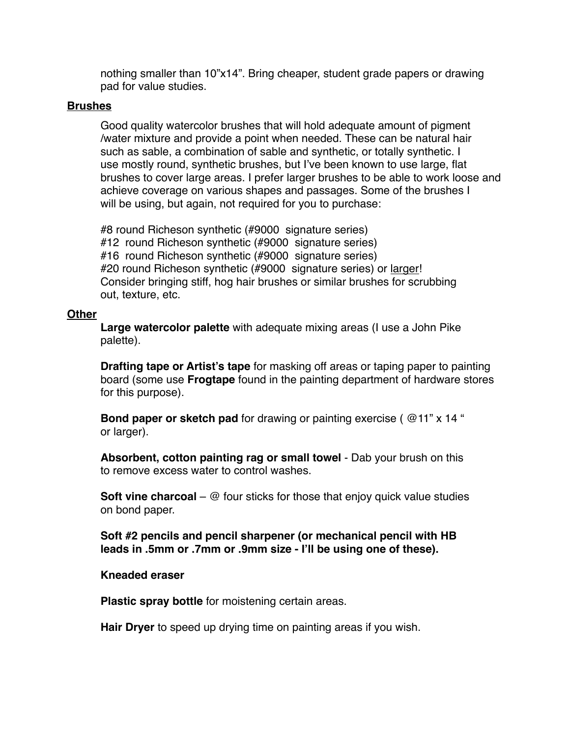nothing smaller than 10"x14". Bring cheaper, student grade papers or drawing pad for value studies.

## **Brushes**

Good quality watercolor brushes that will hold adequate amount of pigment /water mixture and provide a point when needed. These can be natural hair such as sable, a combination of sable and synthetic, or totally synthetic. I use mostly round, synthetic brushes, but I've been known to use large, flat brushes to cover large areas. I prefer larger brushes to be able to work loose and achieve coverage on various shapes and passages. Some of the brushes I will be using, but again, not required for you to purchase:

#8 round Richeson synthetic (#9000 signature series) #12 round Richeson synthetic (#9000 signature series) #16 round Richeson synthetic (#9000 signature series) #20 round Richeson synthetic (#9000 signature series) or larger! Consider bringing stiff, hog hair brushes or similar brushes for scrubbing out, texture, etc.

### **Other**

**Large watercolor palette** with adequate mixing areas (I use a John Pike palette).

**Drafting tape or Artist's tape** for masking off areas or taping paper to painting board (some use **Frogtape** found in the painting department of hardware stores for this purpose).

**Bond paper or sketch pad** for drawing or painting exercise ( $@11"$  x 14 " or larger).

**Absorbent, cotton painting rag or small towel** - Dab your brush on this to remove excess water to control washes.

**Soft vine charcoal** – @ four sticks for those that enjoy quick value studies on bond paper.

**Soft #2 pencils and pencil sharpener (or mechanical pencil with HB leads in .5mm or .7mm or .9mm size - I'll be using one of these).**

### **Kneaded eraser**

**Plastic spray bottle** for moistening certain areas.

**Hair Dryer** to speed up drying time on painting areas if you wish.